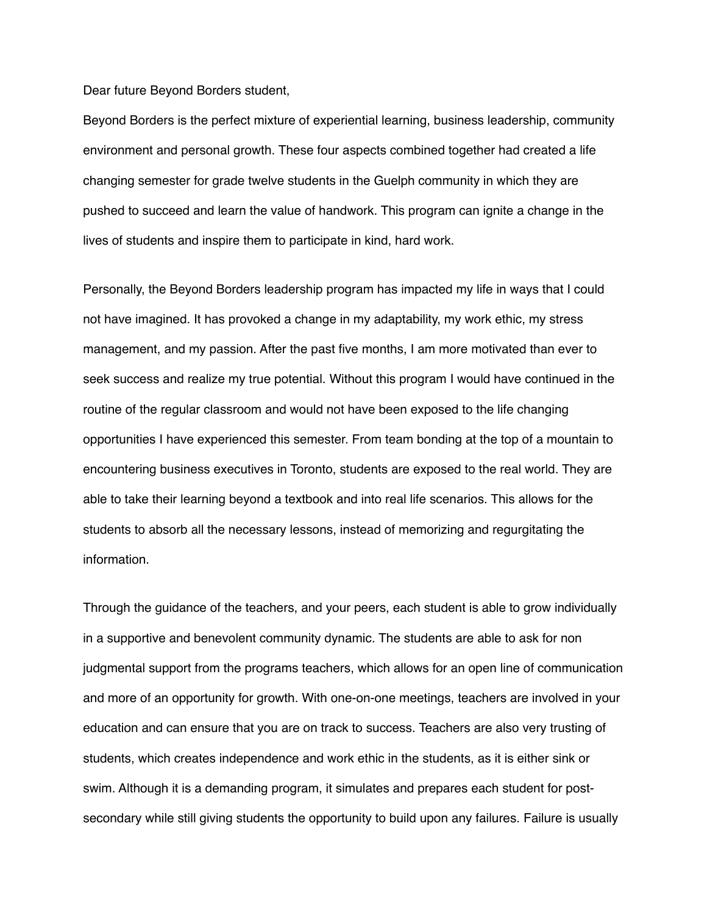Dear future Beyond Borders student,

Beyond Borders is the perfect mixture of experiential learning, business leadership, community environment and personal growth. These four aspects combined together had created a life changing semester for grade twelve students in the Guelph community in which they are pushed to succeed and learn the value of handwork. This program can ignite a change in the lives of students and inspire them to participate in kind, hard work.

Personally, the Beyond Borders leadership program has impacted my life in ways that I could not have imagined. It has provoked a change in my adaptability, my work ethic, my stress management, and my passion. After the past five months, I am more motivated than ever to seek success and realize my true potential. Without this program I would have continued in the routine of the regular classroom and would not have been exposed to the life changing opportunities I have experienced this semester. From team bonding at the top of a mountain to encountering business executives in Toronto, students are exposed to the real world. They are able to take their learning beyond a textbook and into real life scenarios. This allows for the students to absorb all the necessary lessons, instead of memorizing and regurgitating the information.

Through the guidance of the teachers, and your peers, each student is able to grow individually in a supportive and benevolent community dynamic. The students are able to ask for non judgmental support from the programs teachers, which allows for an open line of communication and more of an opportunity for growth. With one-on-one meetings, teachers are involved in your education and can ensure that you are on track to success. Teachers are also very trusting of students, which creates independence and work ethic in the students, as it is either sink or swim. Although it is a demanding program, it simulates and prepares each student for postsecondary while still giving students the opportunity to build upon any failures. Failure is usually